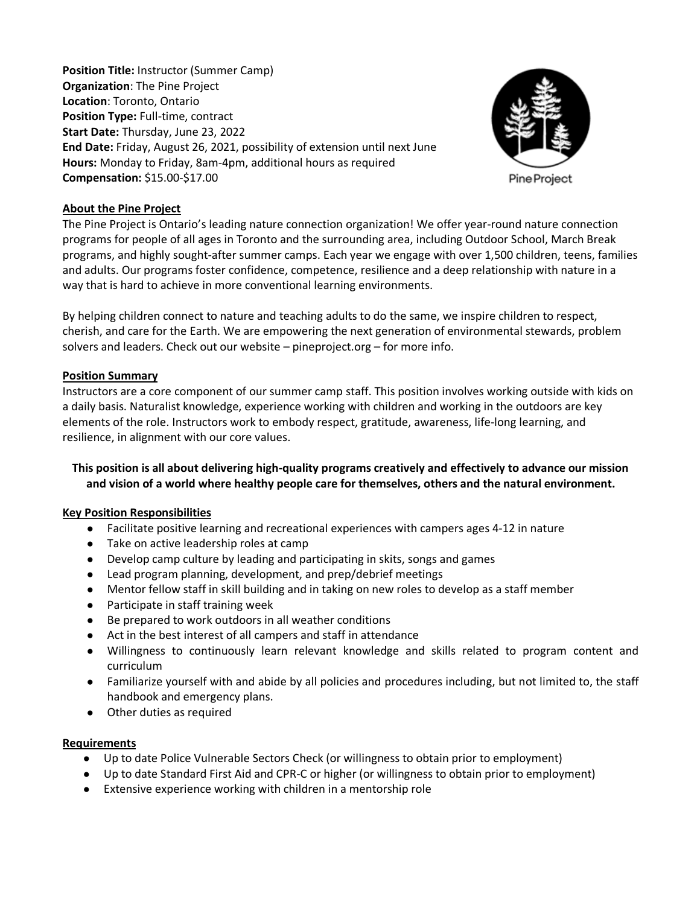**Position Title:** Instructor (Summer Camp) **Organization**: The Pine Project **Location**: Toronto, Ontario **Position Type:** Full-time, contract **Start Date:** Thursday, June 23, 2022 **End Date:** Friday, August 26, 2021, possibility of extension until next June **Hours:** Monday to Friday, 8am-4pm, additional hours as required **Compensation:** \$15.00-\$17.00



#### **About the Pine Project**

The Pine Project is Ontario's leading nature connection organization! We offer year-round nature connection programs for people of all ages in Toronto and the surrounding area, including Outdoor School, March Break programs, and highly sought-after summer camps. Each year we engage with over 1,500 children, teens, families and adults. Our programs foster confidence, competence, resilience and a deep relationship with nature in a way that is hard to achieve in more conventional learning environments.

By helping children connect to nature and teaching adults to do the same, we inspire children to respect, cherish, and care for the Earth. We are empowering the next generation of environmental stewards, problem solvers and leaders. Check out our website – pineproject.org – for more info.

### **Position Summary**

Instructors are a core component of our summer camp staff. This position involves working outside with kids on a daily basis. Naturalist knowledge, experience working with children and working in the outdoors are key elements of the role. Instructors work to embody respect, gratitude, awareness, life-long learning, and resilience, in alignment with our core values.

# **This position is all about delivering high-quality programs creatively and effectively to advance our mission and vision of a world where healthy people care for themselves, others and the natural environment.**

#### **Key Position Responsibilities**

- Facilitate positive learning and recreational experiences with campers ages 4-12 in nature
- Take on active leadership roles at camp
- Develop camp culture by leading and participating in skits, songs and games
- Lead program planning, development, and prep/debrief meetings
- Mentor fellow staff in skill building and in taking on new roles to develop as a staff member
- Participate in staff training week
- Be prepared to work outdoors in all weather conditions
- Act in the best interest of all campers and staff in attendance
- Willingness to continuously learn relevant knowledge and skills related to program content and curriculum
- Familiarize yourself with and abide by all policies and procedures including, but not limited to, the staff handbook and emergency plans.
- Other duties as required

#### **Requirements**

- Up to date Police Vulnerable Sectors Check (or willingness to obtain prior to employment)
- Up to date Standard First Aid and CPR-C or higher (or willingness to obtain prior to employment)
- Extensive experience working with children in a mentorship role